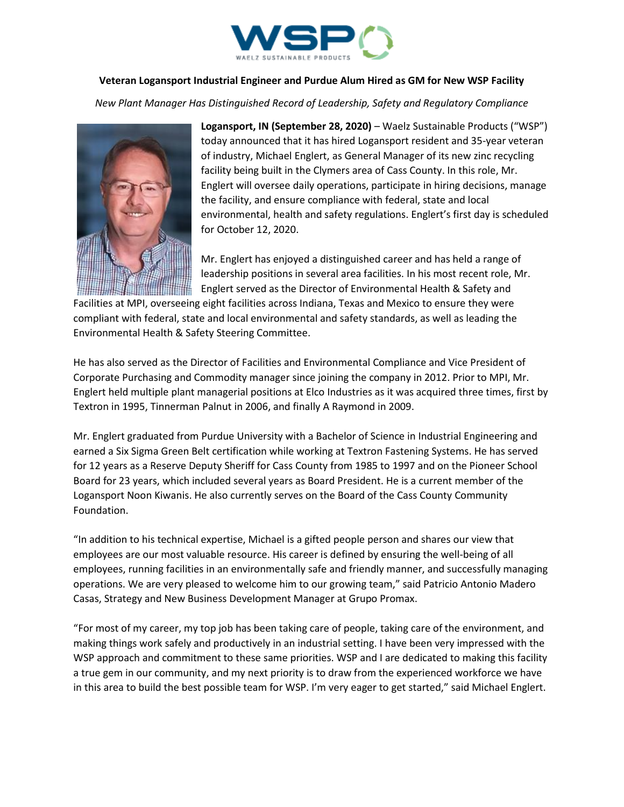

## **Veteran Logansport Industrial Engineer and Purdue Alum Hired as GM for New WSP Facility**

*New Plant Manager Has Distinguished Record of Leadership, Safety and Regulatory Compliance*



**Logansport, IN (September 28, 2020)** – Waelz Sustainable Products ("WSP") today announced that it has hired Logansport resident and 35-year veteran of industry, Michael Englert, as General Manager of its new zinc recycling facility being built in the Clymers area of Cass County. In this role, Mr. Englert will oversee daily operations, participate in hiring decisions, manage the facility, and ensure compliance with federal, state and local environmental, health and safety regulations. Englert's first day is scheduled for October 12, 2020.

Mr. Englert has enjoyed a distinguished career and has held a range of leadership positions in several area facilities. In his most recent role, Mr. Englert served as the Director of Environmental Health & Safety and

Facilities at MPI, overseeing eight facilities across Indiana, Texas and Mexico to ensure they were compliant with federal, state and local environmental and safety standards, as well as leading the Environmental Health & Safety Steering Committee.

He has also served as the Director of Facilities and Environmental Compliance and Vice President of Corporate Purchasing and Commodity manager since joining the company in 2012. Prior to MPI, Mr. Englert held multiple plant managerial positions at Elco Industries as it was acquired three times, first by Textron in 1995, Tinnerman Palnut in 2006, and finally A Raymond in 2009.

Mr. Englert graduated from Purdue University with a Bachelor of Science in Industrial Engineering and earned a Six Sigma Green Belt certification while working at Textron Fastening Systems. He has served for 12 years as a Reserve Deputy Sheriff for Cass County from 1985 to 1997 and on the Pioneer School Board for 23 years, which included several years as Board President. He is a current member of the Logansport Noon Kiwanis. He also currently serves on the Board of the Cass County Community Foundation.

"In addition to his technical expertise, Michael is a gifted people person and shares our view that employees are our most valuable resource. His career is defined by ensuring the well-being of all employees, running facilities in an environmentally safe and friendly manner, and successfully managing operations. We are very pleased to welcome him to our growing team," said Patricio Antonio Madero Casas, Strategy and New Business Development Manager at Grupo Promax.

"For most of my career, my top job has been taking care of people, taking care of the environment, and making things work safely and productively in an industrial setting. I have been very impressed with the WSP approach and commitment to these same priorities. WSP and I are dedicated to making this facility a true gem in our community, and my next priority is to draw from the experienced workforce we have in this area to build the best possible team for WSP. I'm very eager to get started," said Michael Englert.